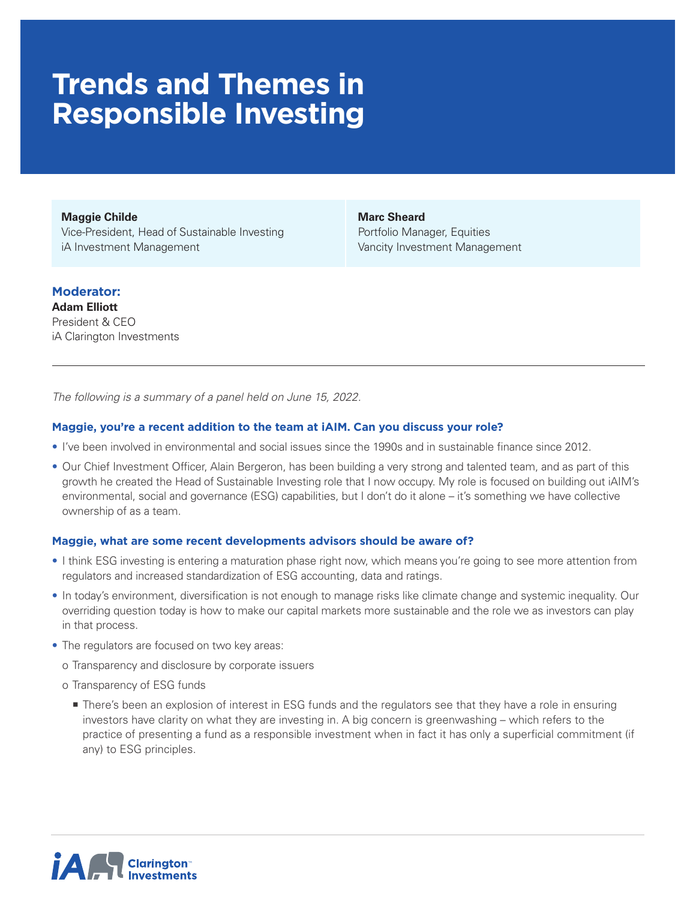# **Trends and Themes in Responsible Investing**

**Maggie Childe** Vice-President, Head of Sustainable Investing iA Investment Management

**Marc Sheard** Portfolio Manager, Equities Vancity Investment Management

# **Moderator:**

**Adam Elliott** President & CEO iA Clarington Investments

*The following is a summary of a panel held on June 15, 2022.* 

### **Maggie, you're a recent addition to the team at iAIM. Can you discuss your role?**

- I've been involved in environmental and social issues since the 1990s and in sustainable finance since 2012.
- Our Chief Investment Officer, Alain Bergeron, has been building a very strong and talented team, and as part of this growth he created the Head of Sustainable Investing role that I now occupy. My role is focused on building out iAIM's environmental, social and governance (ESG) capabilities, but I don't do it alone – it's something we have collective ownership of as a team.

### **Maggie, what are some recent developments advisors should be aware of?**

- I think ESG investing is entering a maturation phase right now, which means you're going to see more attention from regulators and increased standardization of ESG accounting, data and ratings.
- In today's environment, diversification is not enough to manage risks like climate change and systemic inequality. Our overriding question today is how to make our capital markets more sustainable and the role we as investors can play in that process.
- The regulators are focused on two key areas:
	- o Transparency and disclosure by corporate issuers
	- o Transparency of ESG funds
		- There's been an explosion of interest in ESG funds and the regulators see that they have a role in ensuring investors have clarity on what they are investing in. A big concern is greenwashing – which refers to the practice of presenting a fund as a responsible investment when in fact it has only a superficial commitment (if any) to ESG principles.

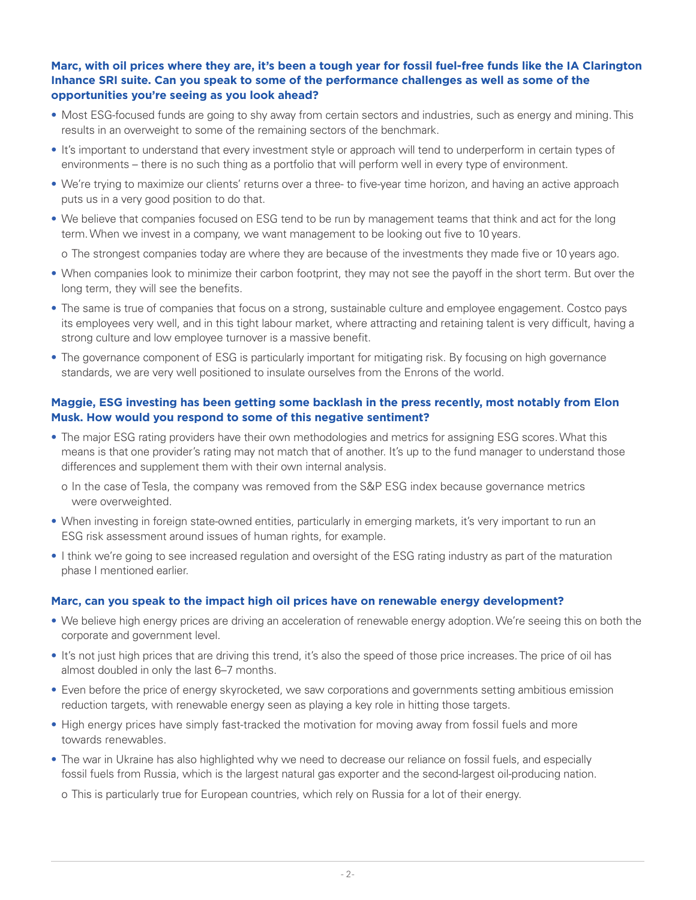# **Marc, with oil prices where they are, it's been a tough year for fossil fuel-free funds like the IA Clarington Inhance SRI suite. Can you speak to some of the performance challenges as well as some of the opportunities you're seeing as you look ahead?**

- Most ESG-focused funds are going to shy away from certain sectors and industries, such as energy and mining. This results in an overweight to some of the remaining sectors of the benchmark.
- It's important to understand that every investment style or approach will tend to underperform in certain types of environments – there is no such thing as a portfolio that will perform well in every type of environment.
- We're trying to maximize our clients' returns over a three- to five-year time horizon, and having an active approach puts us in a very good position to do that.
- We believe that companies focused on ESG tend to be run by management teams that think and act for the long term. When we invest in a company, we want management to be looking out five to 10 years.

o The strongest companies today are where they are because of the investments they made five or 10 years ago.

- When companies look to minimize their carbon footprint, they may not see the payoff in the short term. But over the long term, they will see the benefits.
- The same is true of companies that focus on a strong, sustainable culture and employee engagement. Costco pays its employees very well, and in this tight labour market, where attracting and retaining talent is very difficult, having a strong culture and low employee turnover is a massive benefit.
- The governance component of ESG is particularly important for mitigating risk. By focusing on high governance standards, we are very well positioned to insulate ourselves from the Enrons of the world.

## **Maggie, ESG investing has been getting some backlash in the press recently, most notably from Elon Musk. How would you respond to some of this negative sentiment?**

- The major ESG rating providers have their own methodologies and metrics for assigning ESG scores. What this means is that one provider's rating may not match that of another. It's up to the fund manager to understand those differences and supplement them with their own internal analysis.
	- o In the case of Tesla, the company was removed from the S&P ESG index because governance metrics were overweighted.
- When investing in foreign state-owned entities, particularly in emerging markets, it's very important to run an ESG risk assessment around issues of human rights, for example.
- I think we're going to see increased regulation and oversight of the ESG rating industry as part of the maturation phase I mentioned earlier.

### **Marc, can you speak to the impact high oil prices have on renewable energy development?**

- We believe high energy prices are driving an acceleration of renewable energy adoption. We're seeing this on both the corporate and government level.
- It's not just high prices that are driving this trend, it's also the speed of those price increases. The price of oil has almost doubled in only the last 6–7 months.
- Even before the price of energy skyrocketed, we saw corporations and governments setting ambitious emission reduction targets, with renewable energy seen as playing a key role in hitting those targets.
- High energy prices have simply fast-tracked the motivation for moving away from fossil fuels and more towards renewables.
- The war in Ukraine has also highlighted why we need to decrease our reliance on fossil fuels, and especially fossil fuels from Russia, which is the largest natural gas exporter and the second-largest oil-producing nation.

o This is particularly true for European countries, which rely on Russia for a lot of their energy.